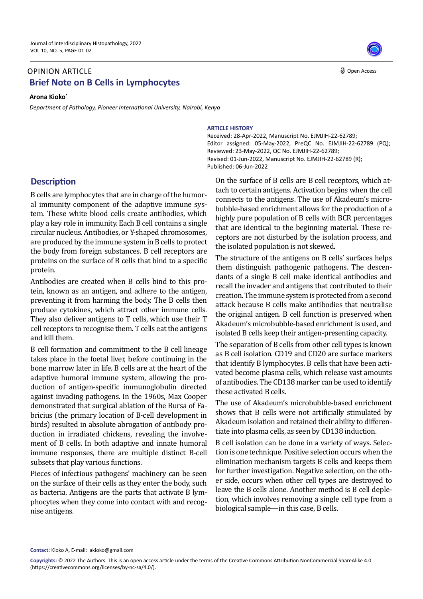## **Brief Note on B Cells in Lymphocytes** OPINION ARTICLE

**Arona Kioko\***

*Department of Pathology, Pioneer International University, Nairobi, Kenya* 



## **ARTICLE HISTORY**

Editor assigned: 05-May-2022, PreQC No. EJMJIH-22-62789 (PQ); Reviewed: 23-May-2022, QC No. EJMJIH-22-62789; Revised: 01-Jun-2022, Manuscript No. EJMJIH-22-62789 (R); Published: 06-Jun-2022 Received: 28-Apr-2022, Manuscript No. EJMJIH-22-62789;

**Description**

B cells are lymphocytes that are in charge of the humoral immunity component of the adaptive immune system. These white blood cells create antibodies, which play a key role in immunity. Each B cell contains a single circular nucleus. Antibodies, or Y-shaped chromosomes, are produced by the immune system in B cells to protect the body from foreign substances. B cell receptors are proteins on the surface of B cells that bind to a specific protein.

Antibodies are created when B cells bind to this protein, known as an antigen, and adhere to the antigen, preventing it from harming the body. The B cells then produce cytokines, which attract other immune cells. They also deliver antigens to T cells, which use their T cell receptors to recognise them. T cells eat the antigens and kill them.

B cell formation and commitment to the B cell lineage takes place in the foetal liver, before continuing in the bone marrow later in life. B cells are at the heart of the adaptive humoral immune system, allowing the production of antigen-specific immunoglobulin directed against invading pathogens. In the 1960s, Max Cooper demonstrated that surgical ablation of the Bursa of Fabricius (the primary location of B-cell development in birds) resulted in absolute abrogation of antibody production in irradiated chickens, revealing the involvement of B cells. In both adaptive and innate humoral immune responses, there are multiple distinct B-cell subsets that play various functions.

Pieces of infectious pathogens' machinery can be seen on the surface of their cells as they enter the body, such as bacteria. Antigens are the parts that activate B lymphocytes when they come into contact with and recognise antigens.

On the surface of B cells are B cell receptors, which attach to certain antigens. Activation begins when the cell connects to the antigens. The use of Akadeum's microbubble-based enrichment allows for the production of a highly pure population of B cells with BCR percentages that are identical to the beginning material. These receptors are not disturbed by the isolation process, and the isolated population is not skewed.

The structure of the antigens on B cells' surfaces helps them distinguish pathogenic pathogens. The descendants of a single B cell make identical antibodies and recall the invader and antigens that contributed to their creation. The immune system is protected from a second attack because B cells make antibodies that neutralise the original antigen. B cell function is preserved when Akadeum's microbubble-based enrichment is used, and isolated B cells keep their antigen-presenting capacity.

The separation of B cells from other cell types is known as B cell isolation. CD19 and CD20 are surface markers that identify B lymphocytes. B cells that have been activated become plasma cells, which release vast amounts of antibodies. The CD138 marker can be used to identify these activated B cells.

The use of Akadeum's microbubble-based enrichment shows that B cells were not artificially stimulated by Akadeum isolation and retained their ability to differentiate into plasma cells, as seen by CD138 induction.

B cell isolation can be done in a variety of ways. Selection is one technique. Positive selection occurs when the elimination mechanism targets B cells and keeps them for further investigation. Negative selection, on the other side, occurs when other cell types are destroyed to leave the B cells alone. Another method is B cell depletion, which involves removing a single cell type from a biological sample—in this case, B cells.

**Contact:** Kioko A, E-mail: akioko@gmail.com

**Copyrights:** © 2022 The Authors. This is an open access article under the terms of the Creative Commons Attribution NonCommercial ShareAlike 4.0 (https://creativecommons.org/licenses/by-nc-sa/4.0/).